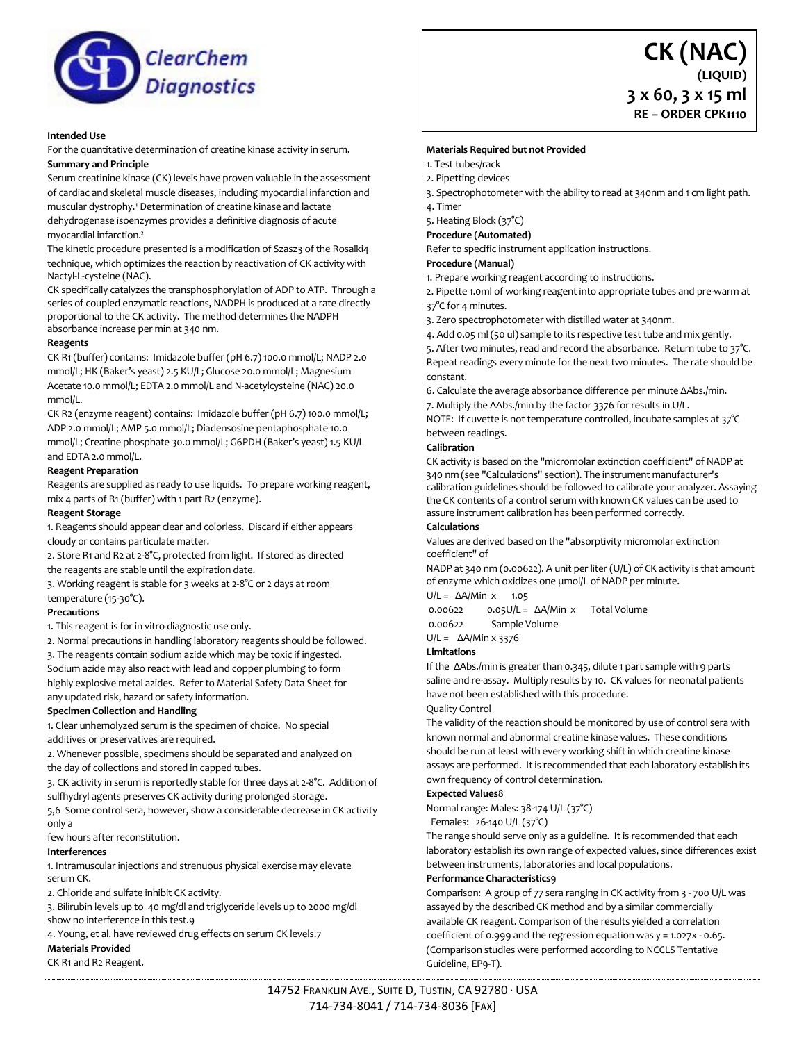

### **Intended Use**

For the quantitative determination of creatine kinase activity in serum. **Summary and Principle** 

Serum creatinine kinase (CK) levels have proven valuable in the assessment of cardiac and skeletal muscle diseases, including myocardial infarction and muscular dystrophy.<sup>1</sup> Determination of creatine kinase and lactate dehydrogenase isoenzymes provides a definitive diagnosis of acute myocardial infarction.²

The kinetic procedure presented is a modification of Szasz3 of the Rosalki4 technique, which optimizes the reaction by reactivation of CK activity with Nactyl-L-cysteine (NAC).

CK specifically catalyzes the transphosphorylation of ADP to ATP. Through a series of coupled enzymatic reactions, NADPH is produced at a rate directly proportional to the CK activity. The method determines the NADPH absorbance increase per min at 340 nm.

### **Reagents**

CK R1 (buffer) contains: Imidazole buffer (pH 6.7) 100.0 mmol/L; NADP 2.0 mmol/L; HK (Baker's yeast) 2.5 KU/L; Glucose 20.0 mmol/L; Magnesium Acetate 10.0 mmol/L; EDTA 2.0 mmol/L and N-acetylcysteine (NAC) 20.0 mmol/L.

CK R2 (enzyme reagent) contains: Imidazole buffer (pH 6.7) 100.0 mmol/L; ADP 2.0 mmol/L; AMP 5.0 mmol/L; Diadensosine pentaphosphate 10.0 mmol/L; Creatine phosphate 30.0 mmol/L; G6PDH (Baker's yeast) 1.5 KU/L and EDTA 2.0 mmol/L.

## **Reagent Preparation**

Reagents are supplied as ready to use liquids. To prepare working reagent, mix 4 parts of R1 (buffer) with 1 part R2 (enzyme).

### **Reagent Storage**

1. Reagents should appear clear and colorless. Discard if either appears cloudy or contains particulate matter.

2. Store R1 and R2 at 2-8°C, protected from light. If stored as directed the reagents are stable until the expiration date.

3. Working reagent is stable for 3 weeks at 2-8°C or 2 days at room temperature (15-30°C).

#### **Precautions**

1. This reagent is for in vitro diagnostic use only.

2. Normal precautions in handling laboratory reagents should be followed.

3. The reagents contain sodium azide which may be toxic if ingested. Sodium azide may also react with lead and copper plumbing to form

highly explosive metal azides. Refer to Material Safety Data Sheet for any updated risk, hazard or safety information.

# **Specimen Collection and Handling**

1. Clear unhemolyzed serum is the specimen of choice. No special additives or preservatives are required.

2. Whenever possible, specimens should be separated and analyzed on the day of collections and stored in capped tubes.

3. CK activity in serum is reportedly stable for three days at 2-8°C. Addition of sulfhydryl agents preserves CK activity during prolonged storage.

5,6 Some control sera, however, show a considerable decrease in CK activity only a

few hours after reconstitution.

### **Interferences**

1. Intramuscular injections and strenuous physical exercise may elevate serum CK.

2. Chloride and sulfate inhibit CK activity.

3. Bilirubin levels up to 40 mg/dl and triglyceride levels up to 2000 mg/dl show no interference in this test.9

4. Young, et al. have reviewed drug effects on serum CK levels.7

### **Materials Provided**

CK R1 and R2 Reagent.

## **Materials Required but not Provided**

1. Test tubes/rack

- 2. Pipetting devices
- 3. Spectrophotometer with the ability to read at 340nm and 1 cm light path.

**CK (NAC)**

**3 x 60, 3 x 15 ml RE – ORDER CPK1110**

**(LIQUID)**

- 4. Timer
- 5. Heating Block (37°C)
- **Procedure (Automated)**

Refer to specific instrument application instructions.

### **Procedure (Manual)**

1. Prepare working reagent according to instructions.

2. Pipette 1.0ml of working reagent into appropriate tubes and pre-warm at 37°C for 4 minutes.

3. Zero spectrophotometer with distilled water at 340nm.

4. Add 0.05 ml (50 ul) sample to its respective test tube and mix gently. 5. After two minutes, read and record the absorbance. Return tube to 37°C.

Repeat readings every minute for the next two minutes. The rate should be constant. 6. Calculate the average absorbance difference per minute ΔAbs./min.

7. Multiply the ΔAbs./min by the factor 3376 for results in U/L.

NOTE: If cuvette is not temperature controlled, incubate samples at 37°C between readings.

### **Calibration**

CK activity is based on the "micromolar extinction coefficient" of NADP at 340 nm (see "Calculations" section). The instrument manufacturer's calibration guidelines should be followed to calibrate your analyzer. Assaying the CK contents of a control serum with known CK values can be used to assure instrument calibration has been performed correctly.

## **Calculations**

Values are derived based on the "absorptivity micromolar extinction coefficient" of

NADP at 340 nm (0.00622). A unit per liter (U/L) of CK activity is that amount of enzyme which oxidizes one μmol/L of NADP per minute.

## U/L =  $\Delta$ A/Min x 1.05

0.00622 0.05U/L = ΔA/Min x Total Volume

0.00622 Sample Volume

U/L = ΔA/Min x 3376

## **Limitations**

If the ΔAbs./min is greater than 0.345, dilute 1 part sample with 9 parts saline and re-assay. Multiply results by 10. CK values for neonatal patients have not been established with this procedure.

## Quality Control

The validity of the reaction should be monitored by use of control sera with known normal and abnormal creatine kinase values. These conditions should be run at least with every working shift in which creatine kinase assays are performed. It is recommended that each laboratory establish its own frequency of control determination.

## **Expected Values**8

Normal range: Males: 38-174 U/L (37°C)

#### Females: 26-140 U/L (37°C)

The range should serve only as a guideline. It is recommended that each laboratory establish its own range of expected values, since differences exist between instruments, laboratories and local populations.

#### **Performance Characteristics**9

Comparison: A group of 77 sera ranging in CK activity from 3 - 700 U/L was assayed by the described CK method and by a similar commercially available CK reagent. Comparison of the results yielded a correlation coefficient of 0.999 and the regression equation was  $y = 1.027x - 0.65$ . (Comparison studies were performed according to NCCLS Tentative Guideline, EP9-T).